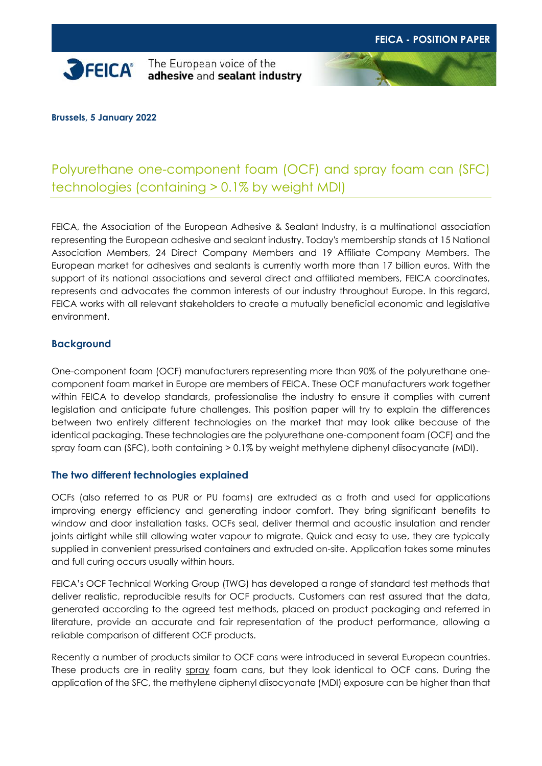

The European voice of the adhesive and sealant industry

**Brussels, 5 January 2022**

## Polyurethane one-component foam (OCF) and spray foam can (SFC) technologies (containing > 0.1% by weight MDI)

FEICA, the Association of the European Adhesive & Sealant Industry, is a multinational association representing the European adhesive and sealant industry. Today's membership stands at 15 National Association Members, 24 Direct Company Members and 19 Affiliate Company Members. The European market for adhesives and sealants is currently worth more than 17 billion euros. With the support of its national associations and several direct and affiliated members, FEICA coordinates, represents and advocates the common interests of our industry throughout Europe. In this regard, FEICA works with all relevant stakeholders to create a mutually beneficial economic and legislative environment.

## **Background**

One-component foam (OCF) manufacturers representing more than 90% of the polyurethane onecomponent foam market in Europe are members of FEICA. These OCF manufacturers work together within FEICA to develop standards, professionalise the industry to ensure it complies with current legislation and anticipate future challenges. This position paper will try to explain the differences between two entirely different technologies on the market that may look alike because of the identical packaging. These technologies are the polyurethane one-component foam (OCF) and the spray foam can (SFC), both containing > 0.1% by weight methylene diphenyl diisocyanate (MDI).

## **The two different technologies explained**

OCFs (also referred to as PUR or PU foams) are extruded as a froth and used for applications improving energy efficiency and generating indoor comfort. They bring significant benefits to window and door installation tasks. OCFs seal, deliver thermal and acoustic insulation and render joints airtight while still allowing water vapour to migrate. Quick and easy to use, they are typically supplied in convenient pressurised containers and extruded on-site. Application takes some minutes and full curing occurs usually within hours.

FEICA's OCF Technical Working Group (TWG) has developed a range of standard test methods that deliver realistic, reproducible results for OCF products. Customers can rest assured that the data, generated according to the agreed test methods, placed on product packaging and referred in literature, provide an accurate and fair representation of the product performance, allowing a reliable comparison of different OCF products.

Recently a number of products similar to OCF cans were introduced in several European countries. These products are in reality spray foam cans, but they look identical to OCF cans. During the application of the SFC, the methylene diphenyl diisocyanate (MDI) exposure can be higher than that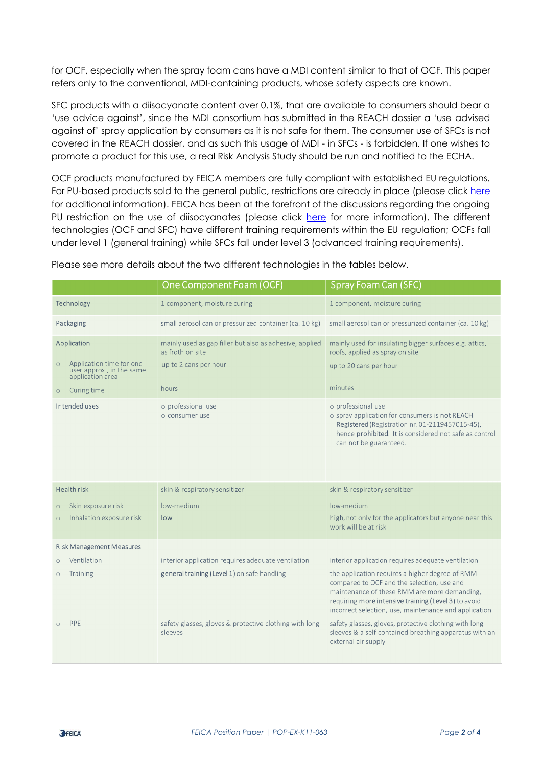for OCF, especially when the spray foam cans have a MDI content similar to that of OCF. This paper refers only to the conventional, MDI-containing products, whose safety aspects are known.

SFC products with a diisocyanate content over 0.1%, that are available to consumers should bear a 'use advice against', since the MDI consortium has submitted in the REACH dossier a 'use advised against of' spray application by consumers as it is not safe for them. The consumer use of SFCs is not covered in the REACH dossier, and as such this usage of MDI - in SFCs - is forbidden. If one wishes to promote a product for this use, a real Risk Analysis Study should be run and notified to the ECHA.

OCF products manufactured by FEICA members are fully compliant with established EU regulations. For PU-based products sold to the general public, restrictions are already in place (please click [here](https://echa.europa.eu/documents/10162/46cb2ae0-ee6b-4319-8604-b5b1d4a41d53) for additional information). FEICA has been at the forefront of the discussions regarding the ongoing PU restriction on the use of diisocyanates (please click [here](https://eur-lex.europa.eu/legal-content/EN/TXT/?uri=uriserv%3AOJ.L_.2020.252.01.0024.01.ENG&toc=OJ%3AL%3A2020%3A252%3ATOC) for more information). The different technologies (OCF and SFC) have different training requirements within the EU regulation; OCFs fall under level 1 (general training) while SFCs fall under level 3 (advanced training requirements).

|                                                                                      | One Component Foam (OCF)                                                    | Spray Foam Can (SFC)                                                                                                                                                                                                                                           |
|--------------------------------------------------------------------------------------|-----------------------------------------------------------------------------|----------------------------------------------------------------------------------------------------------------------------------------------------------------------------------------------------------------------------------------------------------------|
| Technology                                                                           | 1 component, moisture curing                                                | 1 component, moisture curing                                                                                                                                                                                                                                   |
| Packaging                                                                            | small aerosol can or pressurized container (ca. 10 kg)                      | small aerosol can or pressurized container (ca. 10 kg)                                                                                                                                                                                                         |
| Application                                                                          | mainly used as gap filler but also as adhesive, applied<br>as froth on site | mainly used for insulating bigger surfaces e.g. attics,<br>roofs, applied as spray on site                                                                                                                                                                     |
| Application time for one<br>$\circ$<br>user approx., in the same<br>application area | up to 2 cans per hour                                                       | up to 20 cans per hour                                                                                                                                                                                                                                         |
| Curing time<br>$\circ$                                                               | hours                                                                       | minutes                                                                                                                                                                                                                                                        |
| Intended uses                                                                        | o professional use<br>o consumer use                                        | o professional use<br>o spray application for consumers is not REACH<br>Registered (Registration nr. 01-2119457015-45),<br>hence prohibited. It is considered not safe as control<br>can not be guaranteed.                                                    |
| <b>Health risk</b>                                                                   | skin & respiratory sensitizer                                               | skin & respiratory sensitizer                                                                                                                                                                                                                                  |
| Skin exposure risk<br>$\circ$                                                        | low-medium                                                                  | low-medium                                                                                                                                                                                                                                                     |
| Inhalation exposure risk<br>$\circ$                                                  | low                                                                         | high, not only for the applicators but anyone near this<br>work will be at risk                                                                                                                                                                                |
| <b>Risk Management Measures</b>                                                      |                                                                             |                                                                                                                                                                                                                                                                |
| Ventilation<br>$\circ$                                                               | interior application requires adequate ventilation                          | interior application requires adequate ventilation                                                                                                                                                                                                             |
| Training<br>$\circ$                                                                  | general training (Level 1) on safe handling                                 | the application requires a higher degree of RMM<br>compared to OCF and the selection, use and<br>maintenance of these RMM are more demanding,<br>requiring more intensive training (Level 3) to avoid<br>incorrect selection, use, maintenance and application |
| PPE                                                                                  | safety glasses, gloves & protective clothing with long<br>sleeves           | safety glasses, gloves, protective clothing with long<br>sleeves & a self-contained breathing apparatus with an<br>external air supply                                                                                                                         |

Please see more details about the two different technologies in the tables below.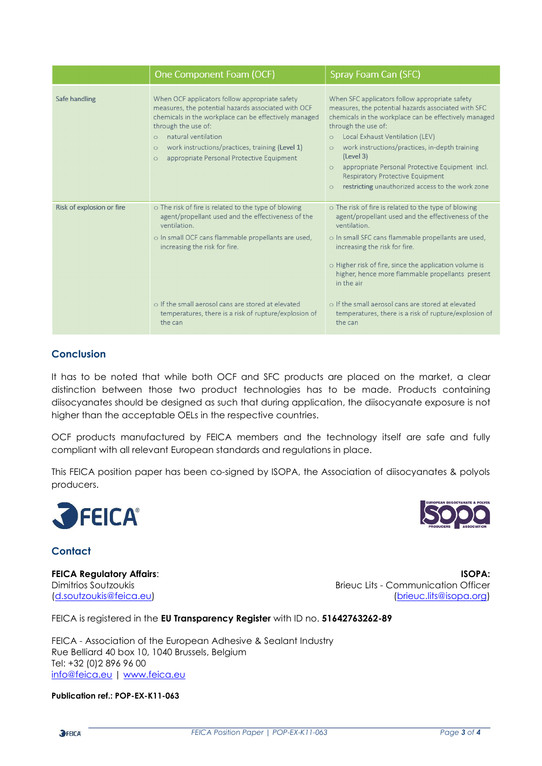|                           | One Component Foam (OCF)                                                                                                                                                                                                                                                                                                                          | Spray Foam Can (SFC)                                                                                                                                                                                                                                                                                                                                                                                                                                                                      |
|---------------------------|---------------------------------------------------------------------------------------------------------------------------------------------------------------------------------------------------------------------------------------------------------------------------------------------------------------------------------------------------|-------------------------------------------------------------------------------------------------------------------------------------------------------------------------------------------------------------------------------------------------------------------------------------------------------------------------------------------------------------------------------------------------------------------------------------------------------------------------------------------|
| Safe handling             | When OCF applicators follow appropriate safety<br>measures, the potential hazards associated with OCF<br>chemicals in the workplace can be effectively managed<br>through the use of:<br>natural ventilation<br>$\Omega$<br>work instructions/practices, training (Level 1)<br>$\circ$<br>appropriate Personal Protective Equipment<br>$\bigcirc$ | When SFC applicators follow appropriate safety<br>measures, the potential hazards associated with SFC<br>chemicals in the workplace can be effectively managed<br>through the use of:<br>Local Exhaust Ventilation (LEV)<br>$\circ$<br>work instructions/practices, in-depth training<br>$\circ$<br>(Level 3)<br>appropriate Personal Protective Equipment incl.<br>$\bigcirc$<br><b>Respiratory Protective Equipment</b><br>restricting unauthorized access to the work zone<br>$\Omega$ |
| Risk of explosion or fire | o The risk of fire is related to the type of blowing<br>agent/propellant used and the effectiveness of the<br>ventilation.<br>o In small OCF cans flammable propellants are used,<br>increasing the risk for fire.<br>o If the small aerosol cans are stored at elevated<br>temperatures, there is a risk of rupture/explosion of<br>the can      | o The risk of fire is related to the type of blowing<br>agent/propellant used and the effectiveness of the<br>ventilation.<br>o In small SFC cans flammable propellants are used,<br>increasing the risk for fire.<br>o Higher risk of fire, since the application volume is<br>higher, hence more flammable propellants present<br>in the air<br>o If the small aerosol cans are stored at elevated<br>temperatures, there is a risk of rupture/explosion of<br>the can                  |

## **Conclusion**

It has to be noted that while both OCF and SFC products are placed on the market, a clear distinction between those two product technologies has to be made. Products containing diisocyanates should be designed as such that during application, the diisocyanate exposure is not higher than the acceptable OELs in the respective countries.

OCF products manufactured by FEICA members and the technology itself are safe and fully compliant with all relevant European standards and regulations in place.

This FEICA position paper has been co-signed by ISOPA, the Association of diisocyanates & polyols producers.



**Contact**

**FEICA Regulatory Affairs**: **ISOPA:** Dimitrios Soutzoukis Brieuc Lits - Communication Officer [\(d.soutzoukis@feica.eu\)](mailto:d.soutzoukis@feica.eu) [\(brieuc.lits@isopa.org\)](mailto:brieuc.lits@isopa.org)

FEICA is registered in the **EU Transparency Register** with ID no. **51642763262-89**

FEICA - Association of the European Adhesive & Sealant Industry Rue Belliard 40 box 10, 1040 Brussels, Belgium Tel: +32 (0)2 896 96 00 [info@feica.eu](mailto:info@feica.eu) | [www.feica.eu](http://www.feica.eu/)

**Publication ref.: POP-EX-K11-063**